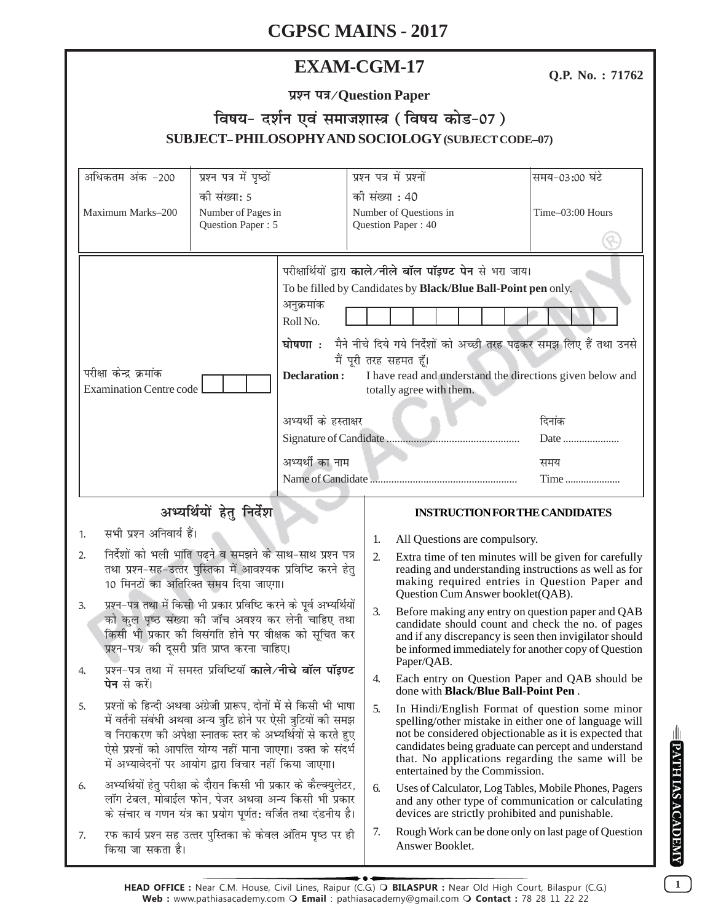# **EXAM-CGM-17**

Q.P. No.: 71762

# विषय- दर्शन एवं समाजशास्त्र (विषय कोड-07) **SUBJECT-PHILOSOPHY AND SOCIOLOGY (SUBJECT CODE-07)**

| अधिकतम अंक -200                                                                                                                                                                                                                                                                                                                                                                                                                                                                                                 | प्रश्न पत्र में पृष्ठों                                                         |                                                                                                                                                                                                                                                                                                                                                                                                                                              |                                                                | प्रश्न पत्र में प्रश्नों                                                                                                                                                                                                                                                                                        | समय-03:00 घंटे   |  |
|-----------------------------------------------------------------------------------------------------------------------------------------------------------------------------------------------------------------------------------------------------------------------------------------------------------------------------------------------------------------------------------------------------------------------------------------------------------------------------------------------------------------|---------------------------------------------------------------------------------|----------------------------------------------------------------------------------------------------------------------------------------------------------------------------------------------------------------------------------------------------------------------------------------------------------------------------------------------------------------------------------------------------------------------------------------------|----------------------------------------------------------------|-----------------------------------------------------------------------------------------------------------------------------------------------------------------------------------------------------------------------------------------------------------------------------------------------------------------|------------------|--|
| Maximum Marks-200                                                                                                                                                                                                                                                                                                                                                                                                                                                                                               | की संख्या: 5<br>Number of Pages in<br>Question Paper: 5                         |                                                                                                                                                                                                                                                                                                                                                                                                                                              | को संख्या : 40<br>Number of Questions in<br>Question Paper: 40 |                                                                                                                                                                                                                                                                                                                 | Time-03:00 Hours |  |
| परीक्षा केन्द्र क्रमांक<br><b>Examination Centre code</b>                                                                                                                                                                                                                                                                                                                                                                                                                                                       |                                                                                 | परीक्षार्थियों द्वारा काले/नीले बॉल पॉइण्ट पेन से भरा जाय।<br>To be filled by Candidates by Black/Blue Ball-Point pen only.<br>अनुक्रमांक<br>Roll No.<br>घोषणा : मैने नीचे दिये गये निर्देशों को अच्छी तरह पढ़कर समझ लिए हैं तथा उनसे<br>मैं पूरी तरह सहमत हूँ।<br><b>Declaration:</b><br>I have read and understand the directions given below and<br>totally agree with them.<br>अभ्यर्थी के हस्ताक्षर<br>दिनांक<br>अभ्यर्थी का नाम<br>समय |                                                                | Date<br>Time                                                                                                                                                                                                                                                                                                    |                  |  |
| अभ्यर्थियों हेतु निर्देश                                                                                                                                                                                                                                                                                                                                                                                                                                                                                        |                                                                                 |                                                                                                                                                                                                                                                                                                                                                                                                                                              |                                                                | <b>INSTRUCTION FOR THE CANDIDATES</b>                                                                                                                                                                                                                                                                           |                  |  |
| सभी प्रश्न अनिवार्य हैं।<br>1.                                                                                                                                                                                                                                                                                                                                                                                                                                                                                  |                                                                                 | 1.                                                                                                                                                                                                                                                                                                                                                                                                                                           |                                                                |                                                                                                                                                                                                                                                                                                                 |                  |  |
| निर्देशों को भली भांति पढ़ने व समझने के साथ-साथ प्रश्न पत्र<br>2.<br>तथा प्रश्न-सह-उत्तर पुस्तिका में आवश्यक प्रविष्टि करने हेतु<br>10 मिनटों का अतिरिक्त समय दिया जाएगा।<br>प्रश्न-पत्र तथा में किसी भी प्रकार प्रविष्टि करने के पूर्व अभ्यर्थियों<br>3.<br>को कुल पृष्ठ संख्या की जॉच अवश्य कर लेनी चाहिए तथा<br>किसी भी प्रकार की विसंगति होने पर वीक्षक को सूचित कर<br>प्रश्न-पत्र/ की दूसरी प्रति प्राप्त करना चाहिए।<br>प्रश्न-पत्र तथा में समस्त प्रविष्टियाँ काले/नीचे बॉल पॉइण्ट<br>4.<br>पेन से करें। |                                                                                 |                                                                                                                                                                                                                                                                                                                                                                                                                                              | 2.                                                             | All Questions are compulsory.<br>Extra time of ten minutes will be given for carefully<br>reading and understanding instructions as well as for<br>making required entries in Question Paper and<br>Question Cum Answer booklet(QAB).                                                                           |                  |  |
|                                                                                                                                                                                                                                                                                                                                                                                                                                                                                                                 |                                                                                 |                                                                                                                                                                                                                                                                                                                                                                                                                                              | 3.                                                             | Before making any entry on question paper and QAB<br>candidate should count and check the no. of pages<br>and if any discrepancy is seen then invigilator should<br>be informed immediately for another copy of Question                                                                                        |                  |  |
|                                                                                                                                                                                                                                                                                                                                                                                                                                                                                                                 |                                                                                 |                                                                                                                                                                                                                                                                                                                                                                                                                                              | 4.                                                             | Paper/QAB.<br>Each entry on Question Paper and QAB should be<br>done with <b>Black/Blue Ball-Point Pen</b> .                                                                                                                                                                                                    |                  |  |
| प्रश्नों के हिन्दी अथवा अंग्रेजी प्रारूप, दोनों में से किसी भी भाषा<br>5.<br>में वर्तनी संबंधी अथवा अन्य त्रुटि होने पर ऐसी त्रुटियों की समझ<br>व निराकरण की अपेक्षा स्नातक स्तर के अभ्यर्थियों से करते हुए<br>ऐसे प्रश्नों को आपत्ति योग्य नहीं माना जाएगा। उक्त के संदर्भ<br>में अभ्यावेदनों पर आयोग द्वारा विचार नहीं किया जाएगा।                                                                                                                                                                            |                                                                                 |                                                                                                                                                                                                                                                                                                                                                                                                                                              | 5.                                                             | In Hindi/English Format of question some minor<br>spelling/other mistake in either one of language will<br>not be considered objectionable as it is expected that<br>candidates being graduate can percept and understand<br>that. No applications regarding the same will be<br>entertained by the Commission. |                  |  |
| अभ्यर्थियों हेतु परीक्षा के दौरान किसी भी प्रकार के कैल्क्युलेटर,<br>6.<br>लॉग टेबल, मोबाईल फोन, पेजर अथवा अन्य किसी भी प्रकार<br>के संचार व गणन यंत्र का प्रयोग पूर्णत: वर्जित तथा दंडनीय है।                                                                                                                                                                                                                                                                                                                  |                                                                                 |                                                                                                                                                                                                                                                                                                                                                                                                                                              | 6.                                                             | Uses of Calculator, Log Tables, Mobile Phones, Pagers<br>and any other type of communication or calculating<br>devices are strictly prohibited and punishable.                                                                                                                                                  |                  |  |
| 7.                                                                                                                                                                                                                                                                                                                                                                                                                                                                                                              | रफ कार्य प्रश्न सह उत्तर पुस्तिका के केवल अंतिम पृष्ठ पर ही<br>किया जा सकता है। |                                                                                                                                                                                                                                                                                                                                                                                                                                              |                                                                | Rough Work can be done only on last page of Question<br>Answer Booklet.                                                                                                                                                                                                                                         |                  |  |

**E PATH IAS A CADEMY** 

 $\overline{1}$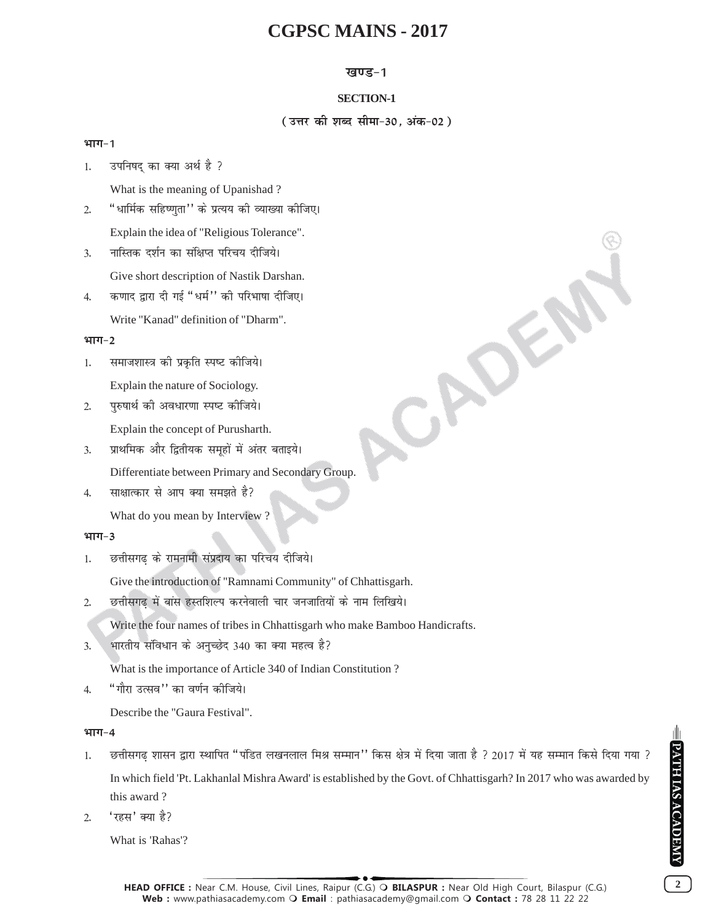## **खण्ड-1**

## **SECTION-1**

( उत्तर की शब्द सीमा-30, अंक-02)

CADEN

## भाग-1

1. उपनिषद का क्या अर्थ है ?

What is the meaning of Upanishad ?

- 2. "धार्मिक सहिष्णुता'' के प्रत्यय की व्याख्या कीजिए। Explain the idea of "Religious Tolerance".
- 3. नास्तिक दर्शन का संक्षिप्त परिचय दीजिये। Give short description of Nastik Darshan.
- 4. कणाद द्वारा दी गई "धर्म" की परिभाषा दीजिए।

Write "Kanad" definition of "Dharm".

## भाग-2

- 1. समाजशास्त्र की प्रकृति स्पष्ट कीजिये। Explain the nature of Sociology.
- 2. परुषार्थ की अवधारणा स्पष्ट कीजिये।

Explain the concept of Purusharth.

- 3. प्राथमिक और द्वितीयक समृहों में अंतर बताइये। Differentiate between Primary and Secondary Group.
- 4. साक्षात्कार से आप क्या समझते है?

What do you mean by Interview ?

## भाग-3

1. छत्तीसगढ के रामनामी संप्रदाय का परिचय दीजिये।

Give the introduction of "Ramnami Community" of Chhattisgarh.

2. छत्तीसगढ़ में बांस हस्तशिल्प करनेवाली चार जनजातियों के नाम लिखिये।

Write the four names of tribes in Chhattisgarh who make Bamboo Handicrafts.

 $3.$  भारतीय संविधान के अनुच्छेद 340 का क्या महत्व है?

What is the importance of Article 340 of Indian Constitution ?

4. "गौरा उत्सव'' का वर्णन कीजिये।

Describe the "Gaura Festival".

## भाग-4

- 1. छत्तीसगढ़ शासन द्वारा स्थापित "पंडित लखनलाल मिश्र सम्मान'' किस क्षेत्र में दिया जाता है ? 2017 में यह सम्मान किसे दिया गया ? In which field 'Pt. Lakhanlal Mishra Award' is established by the Govt. of Chhattisgarh? In 2017 who was awarded by this award ?
- $2.$   $\sqrt{3}$ हस' क्या है?

What is 'Rahas'?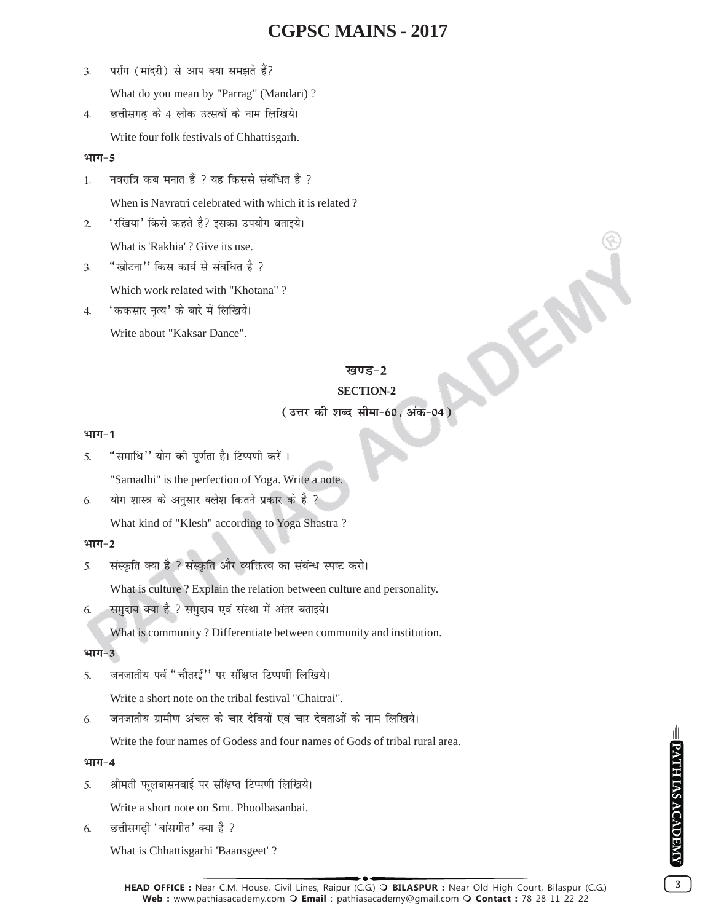- 3. पर्राग (मांदरी) से आप क्या समझते हैं? What do you mean by "Parrag" (Mandari) ?
- 4. छत्तीसगढ़ के 4 लोक उत्सवों के नाम लिखिये। Write four folk festivals of Chhattisgarh.

### भाग-5

- $1.$  नवरात्रि कब मनात हैं ? यह किससे संबंधित है ? When is Navratri celebrated with which it is related ?
- 2. 'रखिया' किसे कहते है? इसका उपयोग बताइये।

What is 'Rakhia' ? Give its use.

3. "खोटना'' किस कार्य से संबंधित है ?

Which work related with "Khotana" ?

4. 'ककसार नत्य' के बारे में लिखिये। Write about "Kaksar Dance".

## खण्ड–2

OK.

## **SECTION-2**

## **(उत्तर की शब्द सीमा-60, अंक-04)**

#### भाग-1

5. "समाधि" योग की पर्णता है। टिप्पणी करें।

"Samadhi" is the perfection of Yoga. Write a note.

 $6.$  ) योग शास्त्र के अनुसार क्लेश कितने प्रकार के है ?

What kind of "Klesh" according to Yoga Shastra ?

## भाग-2

5. संस्कृति क्या है ? संस्कृति और व्यक्तित्व का संबंन्ध स्पष्ट करो।

What is culture ? Explain the relation between culture and personality.

6. समुदाय क्या है ? समुदाय एवं संस्था में अंतर बताइये।

What is community ? Differentiate between community and institution.

### भाग-3

5. जनजातीय पर्व "चौतरई'' पर संक्षिप्त टिप्पणी लिखिये।

Write a short note on the tribal festival "Chaitrai".

6. जनजातीय ग्रामीण अंचल के चार देवियों एवं चार देवताओं के नाम लिखिये।

Write the four names of Godess and four names of Gods of tribal rural area.

### भाग-4

5. श्रीमती फूलबासनबाई पर संक्षिप्त टिप्पणी लिखिये।

Write a short note on Smt. Phoolbasanbai.

 $6.$  छत्तीसगढी 'बांसगीत' क्या है ?

What is Chhattisgarhi 'Baansgeet' ?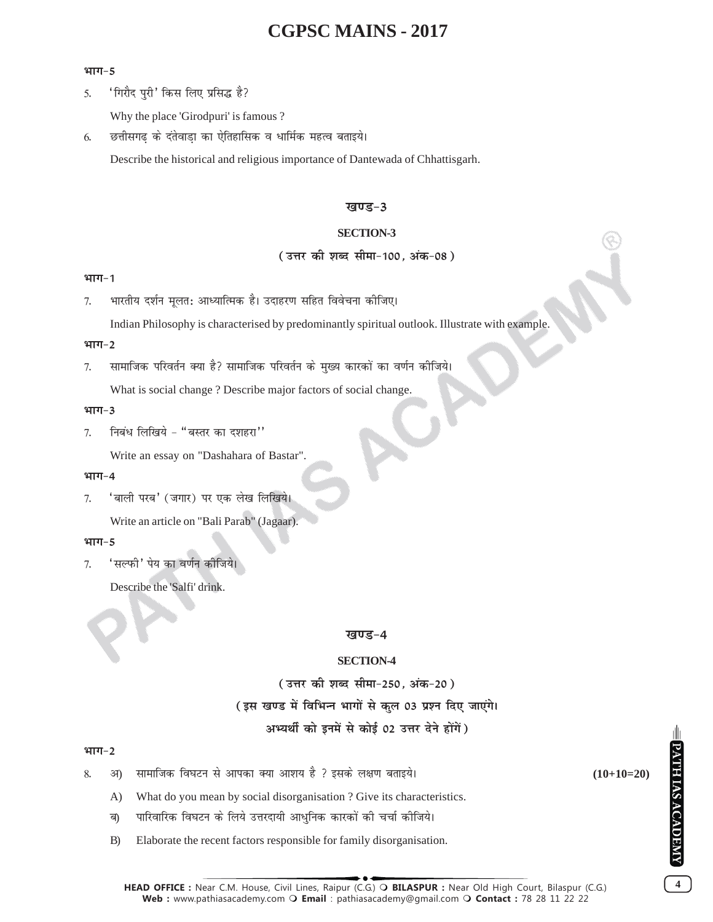#### भाग-5

5. 'गिरौद पुरी' किस लिए प्रसिद्ध है?

Why the place 'Girodpuri' is famous ?

6. छत्तीसगढ के दंतेवाडा का ऐतिहासिक व धार्मिक महत्व बताइये।

Describe the historical and religious importance of Dantewada of Chhattisgarh.

#### **खण्ड-3**

### **SECTION-3**

### ( उत्तर की शब्द सीमा-100, अंक-08)

#### **भाग-1**

7. भारतीय दर्शन मुलत: आध्यात्मिक है। उदाहरण सहित विवेचना कोजिए।

Indian Philosophy is characterised by predominantly spiritual outlook. Illustrate with example.

#### भाग-2

7. सामाजिक परिवर्तन क्या है? सामाजिक परिवर्तन के मुख्य कारकों का वर्णन कीजिये।

What is social change ? Describe major factors of social change.

#### भाग-3

 $7.$  निबंध लिखिये - "बस्तर का दशहरा"

Write an essay on "Dashahara of Bastar".

#### भाग-4

7. 'बाली परब' (जगार) पर एक लेख लिखिये।

Write an article on "Bali Parab" (Jagaar).

#### भाग-5

7. 'सल्फी' पेय का वर्णन कीजिये।

Describe the 'Salfi' drink.

#### **खण्ड-4**

### **SECTION-4**

( उत्तर की शब्द सीमा-250, अंक-20) (इस खण्ड में विभिन्न भागों से कुल 03 प्रश्न दिए जाएंगे। अभ्यर्थी को इनमें से कोई 02 उत्तर देने होंगें)

## भाग-2

- 8- v) lkekftd fo?kVu ls vkidk D;k vk'k; gS \ blds y{k.k crkb;sA **(10+10=20)**
	- A) What do you mean by social disorganisation ? Give its characteristics.
	- ब) पारिवारिक विघटन के लिये उत्तरदायी आधुनिक कारकों की चर्चा कीजिये।
	- B) Elaborate the recent factors responsible for family disorganisation.

**4**

**PATH IAS ACADEMY**